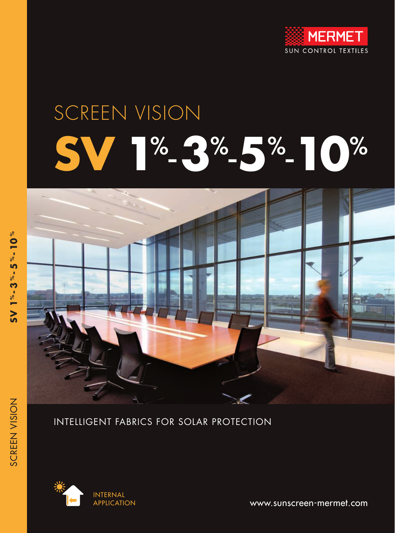

# SCREEN VISION **SV 1**% -**3**% -**5**% -**10**%



## INTELLIGENT FABRICS FOR SOLAR PROTECTION



www.sunscreen-mermet.com

SCREEN VISION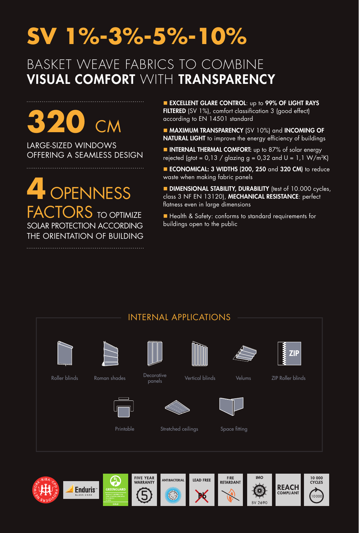## **SV 1%-3%-5%-10%**

## BASKET WEAVE FABRICS TO COMBINE VISUAL COMFORT WITH TRANSPARENCY

**320** CM

LARGE-SIZED WINDOWS OFFERING A SEAMLESS DESIGN

**4** OPENNESS FACTORS TO OPTIMIZE SOLAR PROTECTION ACCORDING THE ORIENTATION OF BUILDING

**EXCELLENT GLARE CONTROL: up to 99% OF LIGHT RAYS** FILTERED (SV 1%), comfort classification 3 (good effect) according to EN 14501 standard

**MAXIMUM TRANSPARENCY** (SV 10%) and **INCOMING OF** NATURAL LIGHT to improve the energy efficiency of buildings

**NITERNAL THERMAL COMFORT:** up to 87% of solar energy rejected (gtot =  $0.13 /$  glazing g =  $0.32$  and U =  $1.1$  W/m<sup>2</sup>K)

■ ECONOMICAL: 3 WIDTHS (200, 250 and 320 CM) to reduce waste when making fabric panels

**DIMENSIONAL STABILITY, DURABILITY** (test of 10.000 cycles, class 3 NF EN 13120), MECHANICAL RESISTANCE: perfect flatness even in large dimensions

■ Health & Safety: conforms to standard requirements for buildings open to the public



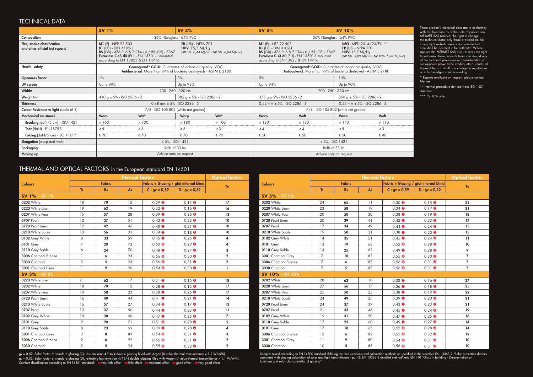|                      |                | <b>Thermal factors</b>     |    |                                      |                                        |                |  |
|----------------------|----------------|----------------------------|----|--------------------------------------|----------------------------------------|----------------|--|
| <b>Colours</b>       | <b>Fabric</b>  |                            |    |                                      | Fabric + Glazing / gtot internal blind |                |  |
|                      | <b>Ts</b>      | As<br>$C: gy = 0.59$<br>Rs |    | $D : gv = 0,32$                      | Tv                                     |                |  |
| <b>SV 1% - OF 1%</b> |                |                            |    |                                      |                                        |                |  |
| 0202 White           | 18             | 70                         | 12 | $0,29$ <b><math>\odot</math></b>     | $0,13$ $\bullet$                       | 17             |  |
| 0220 White Linen     | 19             | 62                         | 19 | $0,32$ <sup><math>\odot</math></sup> | $0,16$ <sup><math>\odot</math></sup>   | 16             |  |
| 0207 White Pearl     | 15             | 57                         | 28 | $0,39$ $\bullet$                     | $0,26$ <b><math>\odot</math></b>       | 13             |  |
| <b>0707 Pearl</b>    | 12             | 37                         | 51 | $0,43$ $\bullet$                     | $0,23$ <sup><math>\odot</math></sup>   | 10             |  |
| 0720 Pearl Linen     | 12             | 42                         | 46 | $0,40$ $\bullet$                     | $0,21$ <sup><math>\odot</math></sup>   | 10             |  |
| 0210 White Sable     | 13             | 56                         | 31 | $0,34$ <sup><math>\odot</math></sup> | $0,18$ <sup><math>\odot</math></sup>   | 10             |  |
| 0102 Grey White      | 8              | 33                         | 59 | $0,45$ $\bullet$                     | $0,25$ <sup><math>\odot</math></sup>   | 4              |  |
| 0101 Grey            | $\overline{7}$ | 20                         | 73 | $0,50$ O                             | $0,29$ <sup><math>\odot</math></sup>   | $\pmb{4}$      |  |
| 0110 Grey Sable      | 6              | 24                         | 70 | $0,48$ $\bullet$                     | $0,27$ <sup><math>\odot</math></sup>   | 3              |  |
| 3006 Charcoal Bronze | $\mathbf{1}$   | 6                          | 93 | $0,56$ $\bullet$                     | $0,30$ <sup><math>\odot</math></sup>   | $\mathbf 2$    |  |
| 3030 Charcoal        | $\overline{2}$ | 5                          | 93 | $0,56$ $\bullet$                     | $0,31$ <sup><math>\odot</math></sup>   | $\mathbf 2$    |  |
| 3001 Charcoal Grey   | $\mathbf{1}$   | 9                          | 90 | $0,54$ O                             | $0,30$ <sup><math>\odot</math></sup>   | I.             |  |
| SV 3% - OF 3%        |                |                            |    |                                      |                                        |                |  |
| 0220 White Linen     | 21             | 62                         | 17 | $0,31$ <sup><math>\odot</math></sup> | $0,15$ <sup><math>\odot</math></sup>   | 18             |  |
| 0202 White           | 18             | 70                         | 12 | $0,28$ <sup><math>\odot</math></sup> | $0,13$ $\Theta$                        | 17             |  |
| 0207 White Pearl     | 19             | 58                         | 23 | $0,38$ $\bullet$                     | $0,26$ <sup><math>\odot</math></sup>   | 17             |  |
| 0720 Pearl Linen     | 16             | 40                         | 44 | $0.41$ 0                             | $0,21$ <sup><math>\odot</math></sup>   | 14             |  |
| 0210 White Sable     | 16             | 57                         | 27 | $0,34$ <sup><math>\odot</math></sup> | $0,17$ $\odot$                         | 13             |  |
| 0707 Pearl           | 13             | 37                         | 50 | $0,44$ $\bullet$                     | $0,23$ <sup><math>\odot</math></sup>   | 11             |  |
| 0102 Grey White      | 10             | 30                         | 60 | $0,47$ $\bullet$                     | $0,25$ $\odot$                         | $\overline{7}$ |  |
| <b>0101</b> Grey     | 9              | 20                         | 71 | $0,51$ O                             | $0,28$ <sup><math>\odot</math></sup>   | 5              |  |
| 0110 Grey Sable      | 8              | 23                         | 69 | $0,49$ $\bullet$                     | $0,28$ <sup><math>\odot</math></sup>   | 4              |  |
| 3001 Charcoal Grey   | 3              | 8                          | 89 | $0,54$ O                             | $0,31$ <sup><math>\odot</math></sup>   | 3              |  |
| 3006 Charcoal Bronze | $\overline{2}$ | 6                          | 92 | $0,55$ O                             | $0,31$ <b><math>\odot</math></b>       | $\mathbf 2$    |  |
| 3030 Charcoal        | $\overline{2}$ | 5                          | 93 | $0,55$ O                             | $0,32$ <sup><math>\odot</math></sup>   | $\mathbf 2$    |  |

These product's technical data are in conformity with this brochure as of the date of publication. MERMET SAS reserves the right to change the technical data; only those provided on the company's website www.sunscreen-mermet. com shall be deemed to be authentic. Where applicable, MERMET SAS also reserves the right to withdraw these products from sale should any of the technical properties or characteristics set out opposite prove to be inadequate or rendered impossible as a result of a change in regulations or in knowledge or understanding.

#### THERMAL AND OPTICAL FACTORS in the European standard EN 14501

|                      |                  | <b>Optical factors</b> |    |                                        |                                      |                 |  |
|----------------------|------------------|------------------------|----|----------------------------------------|--------------------------------------|-----------------|--|
| <b>Colours</b>       | <b>Fabric</b>    |                        |    | Fabric + Glazing / gtot internal blind |                                      |                 |  |
|                      | $\overline{1}$ s | Rs<br>As               |    | $C: gy = 0.59$                         | $D : gv = 0,32$                      | Tv              |  |
| SV 5% - OF 5%        |                  |                        |    |                                        |                                      |                 |  |
| 0202 White           | 24               | 65                     | 11 | $0,30$ <sup><math>\odot</math></sup>   | $0,15$ <sup><math>\odot</math></sup> | 23              |  |
| 0220 White Linen     | 23               | 58                     | 19 | $0,34$ <sup><math>\odot</math></sup>   | $0,17$ $\odot$                       | 21              |  |
| 0207 White Pearl     | 20               | 50                     | 30 | $0,38$ O                               | $0,19$ <b><math>\odot</math></b>     | 18              |  |
| 0720 Pearl Linen     | 20               | 39                     | 41 | $0,42$ $\bullet$                       | $0.23$ <b><math>\odot</math></b>     | 17              |  |
| <b>0707 Pearl</b>    | 17               | 34                     | 49 | $0,44$ $\bullet$                       | $0,24$ <sup><math>\odot</math></sup> | 15              |  |
| 0210 White Sable     | 19               | 50                     | 31 | $0,38$ $\bullet$                       | $0,20$ $\odot$                       | 15              |  |
| 0102 Grey White      | 14               | 35                     | 51 | $0,45$ $\bullet$                       | $0,24$ <sup><math>\odot</math></sup> | $\overline{11}$ |  |
| 0101 Grey            | 13               | 19                     | 68 | $0,52$ O                               | $0,28$ $\bullet$                     | 10              |  |
| 0110 Grey Sable      | 13               | 25                     | 62 | $0,49$ $\bullet$                       | $0,28$ <sup><math>\odot</math></sup> | 9               |  |
| 3001 Charcoal Grey   | $\overline{7}$   | 10                     | 83 | $0,55$ O                               | $0,30$ <sup><math>\odot</math></sup> | $\overline{7}$  |  |
| 3006 Charcoal Bronze | $\overline{7}$   | 6                      | 87 | $0,56$ O                               | $0,31$ <sup><math>\odot</math></sup> | $\overline{7}$  |  |
| 3030 Charcoal        | $\overline{7}$   | 5                      | 88 | $0,56$ $\bullet$                       | $0,31$ <b><math>\odot</math></b>     | $\overline{7}$  |  |
| SV 10% - OF 10%      |                  |                        |    |                                        |                                      |                 |  |
| 0202 White           | 28               | 62                     | 10 | $0,32$ <sup><math>\odot</math></sup>   | $0,16$ $\Theta$                      | 27              |  |
| 0220 White Linen     | 27               | 56                     | 17 | $0,36$ $\bullet$                       | $0,18$ <sup><math>\odot</math></sup> | 25              |  |
| 0207 White Pearl     | 25               | 50                     | 25 | $0,38$ $\bullet$                       | $0,19$ <b><math>\odot</math></b>     | 22              |  |
| 0210 White Sable     | 24               | 49                     | 27 | $0,39$ O                               | $0,20$ $\odot$                       | 21              |  |
| 0720 Pearl Linen     | 24               | 37                     | 39 | $0,43$ $\bullet$                       | $0,23$ <b><math>\odot</math></b>     | 21              |  |
| <b>0707 Pearl</b>    | 21               | 33                     | 46 | $0,45$ $\bullet$                       | $0,24$ <sup><math>\odot</math></sup> | 19              |  |
| 0102 Grey White      | 19               | 31                     | 50 | $0,47$ $\bullet$                       | $0,25$ $\bullet$                     | 16              |  |
| 0110 Grey Sable      | 17               | 23                     | 60 | $0,49$ $\bullet$                       | $0,27$ <sup><math>\odot</math></sup> | 14              |  |
| 0101 Grey            | 17               | 18                     | 65 | $0,52$ O                               | $0,28$ $\bullet$                     | 14              |  |
| 3006 Charcoal Bronze | 12               | 6                      | 82 | $0,55$ O                               | $0,32$ <sup><math>\odot</math></sup> | 12              |  |
| 3001 Charcoal Grey   | 11               | 9                      | 80 | $0,54$ O                               | $0,31$ <sup><math>\odot</math></sup> | 10              |  |
| 3030 Charcoal        | 10               | 5                      | 85 | $0,56$ $\bullet$                       | $0,31$ <sup><math>\odot</math></sup> | 10              |  |

|                                                                                     | <b>SV 1%</b>                                                                                                                                                                                                                                                                       |                                   | <b>SV 3%</b>                   |           | <b>SV 5%</b>                                                           |                                                                                                                                                                                                                                                                                                                                                      | <b>SV 10%</b>                  |           |  |  |  |
|-------------------------------------------------------------------------------------|------------------------------------------------------------------------------------------------------------------------------------------------------------------------------------------------------------------------------------------------------------------------------------|-----------------------------------|--------------------------------|-----------|------------------------------------------------------------------------|------------------------------------------------------------------------------------------------------------------------------------------------------------------------------------------------------------------------------------------------------------------------------------------------------------------------------------------------------|--------------------------------|-----------|--|--|--|
| Composition                                                                         | 36% Fibreglass - 64% PVC                                                                                                                                                                                                                                                           |                                   |                                |           |                                                                        | 36% Fibreglass - 64% PVC                                                                                                                                                                                                                                                                                                                             |                                |           |  |  |  |
| Fire, smoke classification<br>and other official test reports*                      | M1 (F) - NFP 92 503<br>FR (US) - NFPA 701<br><b>B1</b> (DE) - DIN 4102-1<br>HHV: $15.7$ MJ/kg<br>BS (GB) - 476 Pt 6 & 7 Class 0 / BS (GB) - 5867<br>$(SV 1\%: 6,44 MJ/m2 - SV 3\%: 6,04 MJ/m2)$<br>Euroclass C-s3-d0 (EU) - EN 13501-1 mounted<br>according to EN 13823 & EN 14716 |                                   |                                |           |                                                                        | M1 (F) - NFP 92 503<br><b>IMO</b> - MED 2014/90/EU ***<br><b>B1</b> (DE) - DIN 4102-1<br>FR $(US)$ - NFPA $701$<br>BS (GB) - 476 Pt 6 & 7 Class 0 / BS (GB) - 5867<br><b>HHV:</b> 15,7 MJ/kg<br>Euroclass C-s3-d0 (EU) - EN 13501-1 mounted<br>(SV 5%: 5,89 MJ/m <sup>2</sup> - SV 10%: 5,49 MJ/m <sup>2</sup> )<br>according to EN 13823 & EN 14716 |                                |           |  |  |  |
| Health, safety                                                                      | Greenguard® GOLD: Guarantee of indoor air quality (VOC)<br>Antibacterial: More than 99% of bacteria destroyeds - ASTM E 2180                                                                                                                                                       |                                   |                                |           |                                                                        | Greenguard® GOLD: Guarantee of indoor air quality (VOC)<br>Antibacterial: More than 99% of bacteria destroyed - ASTM E 2180                                                                                                                                                                                                                          |                                |           |  |  |  |
| <b>Openness factor</b>                                                              | $1\%$                                                                                                                                                                                                                                                                              |                                   | 3%                             |           | 5%                                                                     |                                                                                                                                                                                                                                                                                                                                                      | 10%                            |           |  |  |  |
| UV screen                                                                           | Up to 99%                                                                                                                                                                                                                                                                          |                                   | Up to 98%                      |           | Up to 94%                                                              |                                                                                                                                                                                                                                                                                                                                                      | Up to 90%                      |           |  |  |  |
| Widths                                                                              | 200 - 250 - 320 cm                                                                                                                                                                                                                                                                 |                                   |                                |           |                                                                        | 200 - 250 - 320 cm                                                                                                                                                                                                                                                                                                                                   |                                |           |  |  |  |
| Weight/m <sup>2</sup>                                                               | $410 g \pm 5\%$ - ISO 2286 - 2                                                                                                                                                                                                                                                     |                                   | $385 g \pm 5\%$ - ISO 2286 - 2 |           | $375 g \pm 5\%$ - ISO 2286 - 2                                         |                                                                                                                                                                                                                                                                                                                                                      | $350 g \pm 5\%$ - ISO 2286 - 2 |           |  |  |  |
| <b>Thickness</b>                                                                    |                                                                                                                                                                                                                                                                                    | $0.48$ mm $\pm$ 5% - ISO 2286 - 3 |                                |           | $0,42$ mm $\pm$ 5% - ISO 2286 - 3<br>$0,45$ mm $\pm$ 5% - ISO 2286 - 3 |                                                                                                                                                                                                                                                                                                                                                      |                                |           |  |  |  |
| <b>Colour Fasteness to light (scale of 8)</b>                                       | 7/8 - ISO 105 B02 (white not graded)                                                                                                                                                                                                                                               |                                   |                                |           | 7/8 - ISO 105 B02 (white not graded)                                   |                                                                                                                                                                                                                                                                                                                                                      |                                |           |  |  |  |
| <b>Mechanical resistance</b>                                                        | <b>Warp</b>                                                                                                                                                                                                                                                                        | Weft                              | <b>Warp</b>                    | Weft      | Warp                                                                   | Weft                                                                                                                                                                                                                                                                                                                                                 | <b>Warp</b>                    | Weft      |  |  |  |
| Breaking $\frac{d}{dN}{5}$ cm $\frac{1}{5}$ - ISO 1421                              | >160                                                                                                                                                                                                                                                                               | >130                              | >180                           | >100      | > 130                                                                  | > 130                                                                                                                                                                                                                                                                                                                                                | >140                           | >110      |  |  |  |
| Tear (daN) - EN 1875-3                                                              | $\geq 5$                                                                                                                                                                                                                                                                           | $\geq 3$                          | $\geq 5$                       | $\geq 3$  | $\geq 4$                                                               | $\geq 4$                                                                                                                                                                                                                                                                                                                                             | $\geq 5$                       | $\geq 3$  |  |  |  |
| Folding $\frac{\text{d}}{\text{d}} N/5$ cm $\frac{\text{d}}{\text{d}}$ - ISO 1421** | $\geq 70$                                                                                                                                                                                                                                                                          | $\geq 70$                         | $\geq 70$                      | $\geq 70$ | $\geq 50$                                                              | $\geq 50$                                                                                                                                                                                                                                                                                                                                            | $\geq 50$                      | $\geq 40$ |  |  |  |
| <b>Elongation</b> (warp and weft)                                                   |                                                                                                                                                                                                                                                                                    | $< 5\% - ISO 1421$                |                                |           | $< 5\% - ISO 1421$                                                     |                                                                                                                                                                                                                                                                                                                                                      |                                |           |  |  |  |
| Packaging                                                                           |                                                                                                                                                                                                                                                                                    | Rolls of 33 Im                    |                                |           | Rolls of 33 Im                                                         |                                                                                                                                                                                                                                                                                                                                                      |                                |           |  |  |  |
| Making up                                                                           |                                                                                                                                                                                                                                                                                    | Advice note on request            |                                |           | Advice note on request                                                 |                                                                                                                                                                                                                                                                                                                                                      |                                |           |  |  |  |

gv = 0,59: Solar factor of standard glazing (C), low-emission 4/16/4 double glazing filled with Argon (U value thermal transmittance = 1,2 W/m²K). gv = 0,32: Solar factor of standard glazing (D), reflecting low-emission 4/16/4 double glazing filled with Argon (U value thermal transmittance = 1,1 W/m2K). \_\_\_\_\_\_\_\_\_\_\_\_\_\_\_\_\_\_\_\_\_\_\_\_\_\_\_<br>Comfort classification according to \* Reports available on request, please contact Mermet

\*\* Internal procedure derived from ISO 1421 standard

\*\*\* SV 10% only

### TECHNICAL DATA

Samples tested according to EN 14500 standard defining the measurements and calculation methods as specified in the standard EN 13363-2 "Solar protection devices combined with glazing calculation of solar and light transmittance - part 2: EN 13363-2 detailed method" and EN 410 "Glass in building - Determination of

. . . . . . . . . . . . . . . . . . .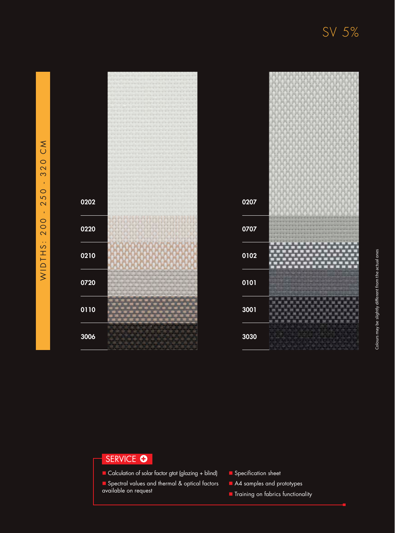0207

|      | ÷ |
|------|---|
|      |   |
|      |   |
| 0202 |   |
|      |   |
|      |   |
|      |   |
|      |   |
|      |   |
|      |   |
| 0220 |   |
|      |   |
|      |   |
|      |   |
|      |   |
|      |   |
|      |   |
| 0210 |   |
|      |   |
|      |   |
|      |   |
|      |   |
|      |   |
|      | ö |
| 0720 | ü |
|      | ı |
|      | ٠ |
|      |   |
|      |   |
|      |   |
|      |   |
| 0110 |   |
|      |   |
|      |   |
|      |   |
|      |   |
|      |   |
|      |   |
|      |   |
| 3006 |   |
|      |   |
|      |   |
|      |   |

## SERVICE <sup>O</sup>

■ Calculation of solar factor gtot (glazing + blind)

**n** Spectral values and thermal & optical factors available on request

 $\blacksquare$  Specification sheet

A4 samples and prototypes

**n** Training on fabrics functionality

SV 5%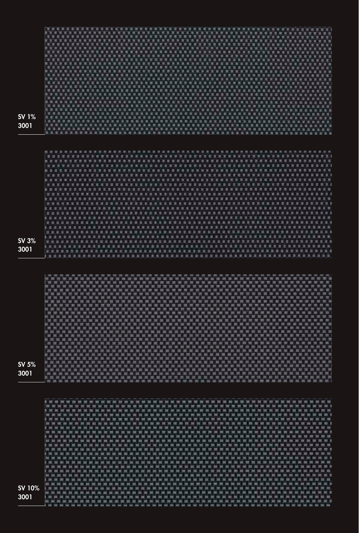| <b>SV 1%</b><br>3001  | 胃、胃                                                            |               |           |                            |                                                             |             |                       |                                              |               |                                 | m                       |
|-----------------------|----------------------------------------------------------------|---------------|-----------|----------------------------|-------------------------------------------------------------|-------------|-----------------------|----------------------------------------------|---------------|---------------------------------|-------------------------|
|                       | 「三つ」<br>算工具                                                    |               |           |                            |                                                             | п           | ٠<br>٠<br>٠<br>п      | ▫<br>п                                       | ۰<br>▬        | <b>SEC</b>                      | 言語                      |
|                       | 高田                                                             |               |           |                            |                                                             |             |                       |                                              |               |                                 |                         |
|                       | л<br>n                                                         |               |           |                            |                                                             |             |                       |                                              |               |                                 |                         |
|                       | 冒<br>前三                                                        |               |           |                            |                                                             |             |                       |                                              |               |                                 |                         |
|                       | $\equiv$<br>light in                                           |               |           |                            |                                                             |             |                       |                                              |               |                                 |                         |
|                       | Ξ<br>除影<br>ш                                                   |               |           |                            |                                                             |             |                       |                                              |               |                                 |                         |
|                       | <b>STER</b><br>花三                                              |               |           |                            |                                                             |             |                       |                                              |               |                                 |                         |
|                       | в<br>■ 第<br>眉                                                  |               |           |                            |                                                             |             |                       |                                              |               |                                 |                         |
| SV 3%                 | 机体<br>算算<br>1. 3                                               |               |           |                            |                                                             |             |                       |                                              |               |                                 |                         |
| 3001                  | 黒川県<br>1. 其. 度. 费                                              |               | 潭<br>推    | ×<br>图<br>谓<br>置<br>т<br>国 | ÷<br>m<br>п<br>×                                            | в<br>×<br>÷ | 面                     |                                              |               |                                 | 算算                      |
|                       |                                                                |               |           |                            |                                                             |             |                       |                                              |               |                                 |                         |
|                       | <b>EX SHOP</b>                                                 |               |           |                            |                                                             |             |                       |                                              |               |                                 |                         |
|                       |                                                                |               |           |                            |                                                             |             |                       |                                              |               |                                 |                         |
|                       |                                                                |               |           |                            |                                                             |             |                       |                                              |               |                                 | 覀                       |
|                       |                                                                |               |           |                            |                                                             |             |                       |                                              |               |                                 |                         |
|                       |                                                                |               |           |                            |                                                             |             | - -                   |                                              | ▭             |                                 | 霱<br>苹果                 |
|                       | 通道 35.35<br>里                                                  | 面<br>39.35.33 |           | 画面                         | . 第 萬 萬 羅 滿 瀬 滅 瀬 藏 藏 清 瀬 瀬 瀬 瀬 薫 薫 薫 瀬 瀬 藤 越 雅 寛 藤 恵 蔵 瀬 瀬 |             |                       |                                              |               |                                 | ■ 形<br>n n              |
|                       | 百<br>冨                                                         |               |           |                            |                                                             |             |                       |                                              |               |                                 | 軍<br>18                 |
|                       | 63 E<br>草草<br>耳、四                                              |               |           |                            |                                                             |             |                       |                                              |               |                                 | - 18<br><b>SEC</b><br>Ð |
| <b>SV 5%</b><br>3001  | 测温<br>. .<br>高端<br>■ 国 国 国                                     |               |           |                            |                                                             |             | L ST                  | -                                            | ×<br>m<br>-75 | <b>D</b>                        | 雪雷<br>算算算               |
|                       | 世 四 四<br>$\sim$                                                |               |           | $\sim$                     |                                                             |             | $-$<br>$\overline{a}$ | $\overline{\phantom{a}}$<br><b>PERMIT RE</b> |               | THE RAIL THE THE THE THE TALK ! |                         |
|                       | ш<br>m<br>m<br>- 88                                            | ш<br>-        | - 23<br>ю |                            |                                                             |             |                       |                                              |               |                                 |                         |
|                       | í.<br>٠                                                        |               |           |                            |                                                             |             |                       |                                              |               |                                 |                         |
|                       | 11, 302, 302<br>開開開<br>ま調<br>- 10<br>$\equiv$<br>$\equiv$<br>一 |               |           |                            |                                                             |             |                       |                                              |               |                                 | 意题<br>声。                |
|                       | 置<br>1 三<br>笸                                                  |               |           |                            |                                                             |             |                       |                                              |               |                                 |                         |
|                       | 1 期<br>請請加盟<br>ı<br>1. 32. 33                                  |               |           |                            |                                                             |             |                       |                                              |               |                                 | ≕                       |
|                       | <b>106 300 300</b><br>■ 三<br>$=$                               |               |           |                            |                                                             |             |                       |                                              |               |                                 | 開 车                     |
|                       | ま、国<br>罒<br>1 三                                                |               |           |                            |                                                             |             |                       |                                              |               |                                 |                         |
| <b>SV 10%</b><br>3001 | 三三<br>1. 营<br>■ 置 置<br>1. 三                                    |               |           |                            |                                                             |             |                       | ٠                                            | ۰             |                                 | 一                       |

'n ÷ × Ή ٣ 'n r.

н Ħ Ή ÷, B

ь × 'n Ë

第7章 演 'n × ٠ ٠ 'n ÷ ÷ ٠

Ë